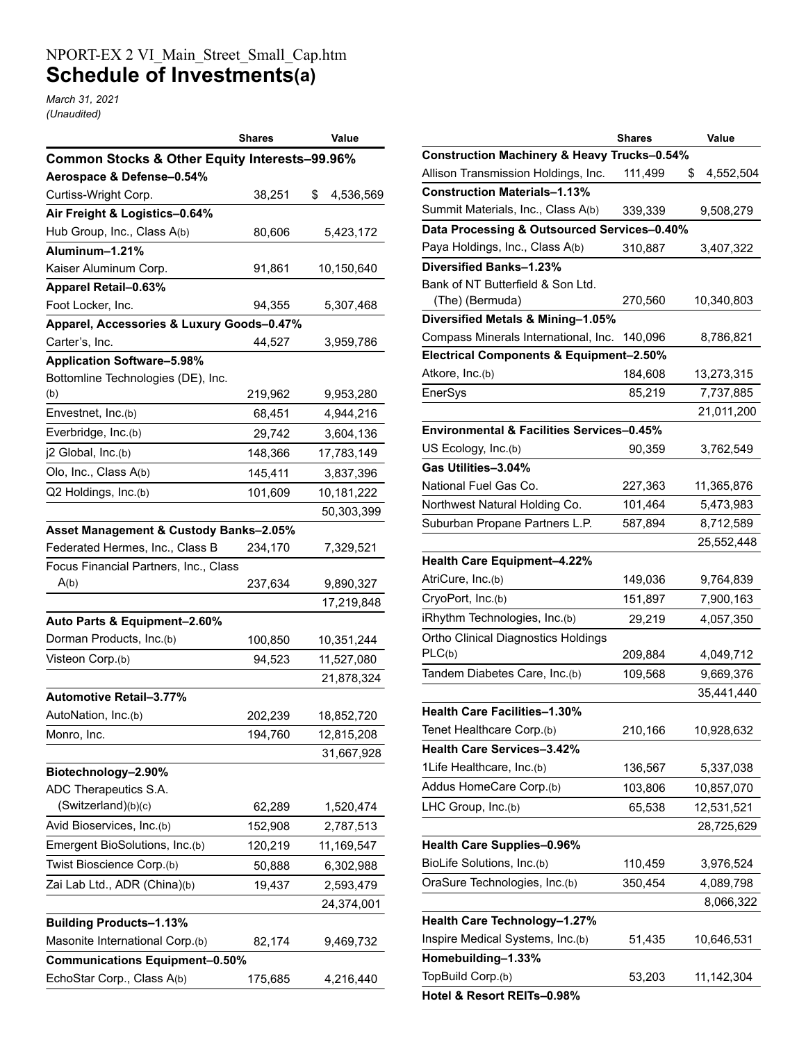# NPORT-EX 2 VI\_Main\_Street\_Small\_Cap.htm **Schedule of Investments(a)**

*March 31, 2021 (Unaudited)*

|                                               | Shares  | Value           |  |  |  |  |
|-----------------------------------------------|---------|-----------------|--|--|--|--|
| Common Stocks & Other Equity Interests-99.96% |         |                 |  |  |  |  |
| Aerospace & Defense-0.54%                     |         |                 |  |  |  |  |
| Curtiss-Wright Corp.                          | 38,251  | \$<br>4,536,569 |  |  |  |  |
| Air Freight & Logistics-0.64%                 |         |                 |  |  |  |  |
| Hub Group, Inc., Class A(b)                   | 80,606  | 5,423,172       |  |  |  |  |
| Aluminum-1.21%                                |         |                 |  |  |  |  |
| Kaiser Aluminum Corp.                         | 91,861  | 10,150,640      |  |  |  |  |
| Apparel Retail-0.63%                          |         |                 |  |  |  |  |
| Foot Locker, Inc.                             | 94,355  | 5,307,468       |  |  |  |  |
| Apparel, Accessories & Luxury Goods-0.47%     |         |                 |  |  |  |  |
| Carter's, Inc.                                | 44,527  | 3,959,786       |  |  |  |  |
| <b>Application Software-5.98%</b>             |         |                 |  |  |  |  |
| Bottomline Technologies (DE), Inc.            |         |                 |  |  |  |  |
| (b)                                           | 219,962 | 9,953,280       |  |  |  |  |
| Envestnet, Inc.(b)                            | 68,451  | 4,944,216       |  |  |  |  |
| Everbridge, Inc.(b)                           | 29,742  | 3,604,136       |  |  |  |  |
| j2 Global, Inc.(b)                            | 148,366 | 17,783,149      |  |  |  |  |
| Olo, Inc., Class A(b)                         | 145,411 | 3,837,396       |  |  |  |  |
| Q2 Holdings, Inc.(b)                          | 101,609 | 10,181,222      |  |  |  |  |
|                                               |         | 50,303,399      |  |  |  |  |
| Asset Management & Custody Banks-2.05%        |         |                 |  |  |  |  |
| Federated Hermes, Inc., Class B               | 234,170 | 7,329,521       |  |  |  |  |
| Focus Financial Partners, Inc., Class         |         |                 |  |  |  |  |
| A(b)                                          | 237,634 | 9,890,327       |  |  |  |  |
|                                               |         | 17,219,848      |  |  |  |  |
| Auto Parts & Equipment-2.60%                  |         |                 |  |  |  |  |
| Dorman Products, Inc.(b)                      | 100,850 | 10,351,244      |  |  |  |  |
| Visteon Corp.(b)                              | 94,523  | 11,527,080      |  |  |  |  |
|                                               |         | 21,878,324      |  |  |  |  |
| <b>Automotive Retail-3.77%</b>                |         |                 |  |  |  |  |
| AutoNation, Inc.(b)                           | 202,239 | 18,852,720      |  |  |  |  |
| Monro, Inc.                                   | 194,760 | 12,815,208      |  |  |  |  |
|                                               |         | 31,667,928      |  |  |  |  |
| Biotechnology-2.90%                           |         |                 |  |  |  |  |
| ADC Therapeutics S.A.                         |         |                 |  |  |  |  |
| (Switzerland)(b)(c)                           | 62,289  | 1,520,474       |  |  |  |  |
| Avid Bioservices, Inc.(b)                     | 152,908 | 2,787,513       |  |  |  |  |
| Emergent BioSolutions, Inc.(b)                | 120,219 | 11,169,547      |  |  |  |  |
| Twist Bioscience Corp.(b)                     | 50,888  | 6,302,988       |  |  |  |  |
| Zai Lab Ltd., ADR (China)(b)                  | 19,437  | 2,593,479       |  |  |  |  |
|                                               |         | 24,374,001      |  |  |  |  |
| <b>Building Products-1.13%</b>                |         |                 |  |  |  |  |
| Masonite International Corp.(b)               | 82,174  | 9,469,732       |  |  |  |  |
| <b>Communications Equipment-0.50%</b>         |         |                 |  |  |  |  |
| EchoStar Corp., Class A(b)                    | 175,685 | 4,216,440       |  |  |  |  |

|                                                        | <b>Shares</b> | Value           |
|--------------------------------------------------------|---------------|-----------------|
| <b>Construction Machinery &amp; Heavy Trucks-0.54%</b> |               |                 |
| Allison Transmission Holdings, Inc.                    | 111,499       | 4,552,504<br>\$ |
| <b>Construction Materials-1.13%</b>                    |               |                 |
| Summit Materials, Inc., Class A(b)                     | 339,339       | 9,508,279       |
| Data Processing & Outsourced Services-0.40%            |               |                 |
| Paya Holdings, Inc., Class A(b)                        | 310,887       | 3,407,322       |
| Diversified Banks-1.23%                                |               |                 |
| Bank of NT Butterfield & Son Ltd.                      |               |                 |
| (The) (Bermuda)                                        | 270,560       | 10,340,803      |
| Diversified Metals & Mining-1.05%                      |               |                 |
| Compass Minerals International, Inc.                   | 140,096       | 8,786,821       |
| Electrical Components & Equipment-2.50%                |               |                 |
| Atkore, Inc.(b)                                        | 184,608       | 13,273,315      |
| EnerSys                                                | 85,219        | 7,737,885       |
|                                                        |               | 21,011,200      |
| <b>Environmental &amp; Facilities Services-0.45%</b>   |               |                 |
| US Ecology, Inc.(b)                                    | 90,359        | 3,762,549       |
| Gas Utilities-3.04%                                    |               |                 |
| National Fuel Gas Co.                                  | 227,363       | 11,365,876      |
| Northwest Natural Holding Co.                          | 101,464       | 5,473,983       |
| Suburban Propane Partners L.P.                         | 587,894       | 8,712,589       |
|                                                        |               | 25,552,448      |
| Health Care Equipment-4.22%                            |               |                 |
| AtriCure, Inc.(b)                                      | 149,036       | 9,764,839       |
| CryoPort, Inc.(b)                                      | 151,897       | 7,900,163       |
| iRhythm Technologies, Inc.(b)                          |               |                 |
|                                                        | 29,219        | 4,057,350       |
| Ortho Clinical Diagnostics Holdings<br>PLC(b)          |               | 4,049,712       |
| Tandem Diabetes Care, Inc.(b)                          | 209,884       |                 |
|                                                        | 109,568       | 9,669,376       |
|                                                        |               | 35,441,440      |
| <b>Health Care Facilities-1.30%</b>                    |               |                 |
| Tenet Healthcare Corp.(b)                              | 210,166       | 10,928,632      |
| <b>Health Care Services-3.42%</b>                      |               |                 |
| 1 Life Healthcare, Inc.(b)                             | 136,567       | 5,337,038       |
| Addus HomeCare Corp.(b)                                | 103,806       | 10,857,070      |
| LHC Group, Inc.(b)                                     | 65,538        | 12,531,521      |
|                                                        |               | 28,725,629      |
| <b>Health Care Supplies-0.96%</b>                      |               |                 |
| BioLife Solutions, Inc.(b)                             | 110,459       | 3,976,524       |
| OraSure Technologies, Inc.(b)                          | 350,454       | 4,089,798       |
|                                                        |               | 8,066,322       |
| Health Care Technology-1.27%                           |               |                 |
| Inspire Medical Systems, Inc.(b)                       | 51,435        | 10,646,531      |
| Homebuilding-1.33%                                     |               |                 |
| TopBuild Corp.(b)                                      | 53,203        | 11,142,304      |
| Hotal & Donort DEITO<br>0.000/                         |               |                 |

**Hotel & Resort REITs–0.98%**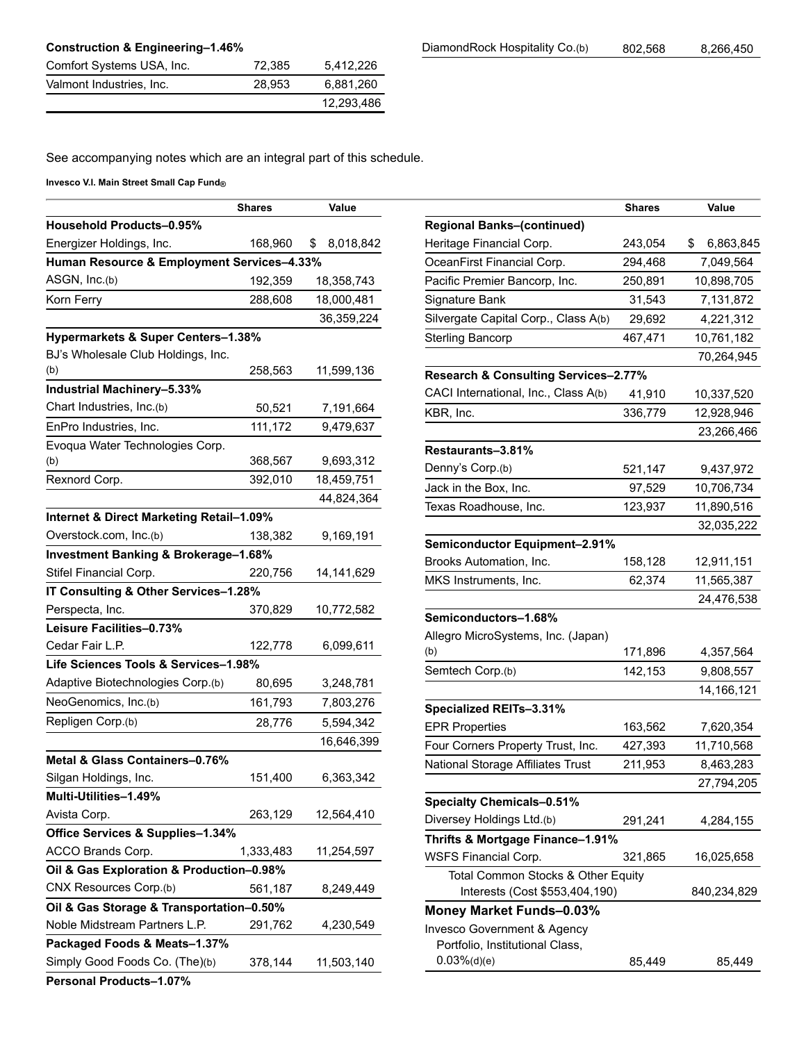| <b>Construction &amp; Engineering-1.46%</b> |        |            |
|---------------------------------------------|--------|------------|
| Comfort Systems USA, Inc.                   | 72.385 | 5.412.226  |
| Valmont Industries, Inc.                    | 28.953 | 6.881.260  |
|                                             |        | 12,293,486 |

See accompanying notes which are an integral part of this schedule.

**Invesco V.I. Main Street Small Cap Fund®**

|                                            | <b>Shares</b> | Value           |
|--------------------------------------------|---------------|-----------------|
| <b>Household Products-0.95%</b>            |               |                 |
| Energizer Holdings, Inc.                   | 168,960       | \$<br>8,018,842 |
| Human Resource & Employment Services-4.33% |               |                 |
| ASGN, Inc.(b)                              | 192,359       | 18,358,743      |
| Korn Ferry                                 | 288,608       | 18,000,481      |
|                                            |               | 36,359,224      |
| Hypermarkets & Super Centers-1.38%         |               |                 |
| BJ's Wholesale Club Holdings, Inc.         |               |                 |
| (b)                                        | 258,563       | 11,599,136      |
| Industrial Machinery-5.33%                 |               |                 |
| Chart Industries, Inc.(b)                  | 50,521        | 7,191,664       |
| EnPro Industries, Inc.                     | 111,172       | 9,479,637       |
| Evoqua Water Technologies Corp.            |               |                 |
| (b)                                        | 368,567       | 9,693,312       |
| Rexnord Corp.                              | 392,010       | 18,459,751      |
|                                            |               | 44,824,364      |
| Internet & Direct Marketing Retail-1.09%   |               |                 |
| Overstock.com, Inc.(b)                     | 138,382       | 9,169,191       |
| Investment Banking & Brokerage-1.68%       |               |                 |
| Stifel Financial Corp.                     | 220,756       | 14,141,629      |
| IT Consulting & Other Services-1.28%       |               |                 |
| Perspecta, Inc.                            | 370,829       | 10,772,582      |
| Leisure Facilities-0.73%                   |               |                 |
| Cedar Fair L.P.                            | 122,778       | 6,099,611       |
| Life Sciences Tools & Services-1.98%       |               |                 |
| Adaptive Biotechnologies Corp.(b)          | 80,695        | 3,248,781       |
| NeoGenomics, Inc.(b)                       | 161,793       | 7,803,276       |
| Repligen Corp.(b)                          | 28,776        | 5,594,342       |
|                                            |               | 16,646,399      |
| Metal & Glass Containers-0.76%             |               |                 |
| Silgan Holdings, Inc.                      | 151,400       | 6,363,342       |
| Multi-Utilities-1.49%                      |               |                 |
| Avista Corp.                               | 263,129       | 12,564,410      |
| Office Services & Supplies-1.34%           |               |                 |
| ACCO Brands Corp.                          | 1,333,483     | 11,254,597      |
| Oil & Gas Exploration & Production-0.98%   |               |                 |
| CNX Resources Corp.(b)                     | 561,187       | 8,249,449       |
| Oil & Gas Storage & Transportation-0.50%   |               |                 |
| Noble Midstream Partners L.P.              | 291,762       | 4,230,549       |
| Packaged Foods & Meats-1.37%               |               |                 |
| Simply Good Foods Co. (The)(b)             | 378,144       | 11,503,140      |
| <b>Personal Products-1.07%</b>             |               |                 |

|                                                                           | <b>Shares</b> | Value           |
|---------------------------------------------------------------------------|---------------|-----------------|
| <b>Regional Banks-(continued)</b>                                         |               |                 |
| Heritage Financial Corp.                                                  | 243,054       | 6,863,845<br>\$ |
| OceanFirst Financial Corp.                                                | 294,468       | 7,049,564       |
| Pacific Premier Bancorp, Inc.                                             | 250,891       | 10,898,705      |
| Signature Bank                                                            | 31,543        | 7,131,872       |
| Silvergate Capital Corp., Class A(b)                                      | 29,692        | 4,221,312       |
| <b>Sterling Bancorp</b>                                                   | 467,471       | 10,761,182      |
|                                                                           |               | 70,264,945      |
| Research & Consulting Services-2.77%                                      |               |                 |
| CACI International, Inc., Class A(b)                                      | 41,910        | 10,337,520      |
| KBR, Inc.                                                                 | 336,779       | 12,928,946      |
|                                                                           |               | 23,266,466      |
| Restaurants-3.81%                                                         |               |                 |
| Denny's Corp.(b)                                                          | 521,147       | 9,437,972       |
| Jack in the Box, Inc.                                                     | 97,529        | 10,706,734      |
| Texas Roadhouse, Inc.                                                     | 123,937       | 11,890,516      |
|                                                                           |               | 32,035,222      |
| Semiconductor Equipment-2.91%                                             |               |                 |
| Brooks Automation, Inc.                                                   | 158,128       | 12,911,151      |
| MKS Instruments, Inc.                                                     | 62,374        | 11,565,387      |
|                                                                           |               | 24,476,538      |
| Semiconductors-1.68%                                                      |               |                 |
| Allegro MicroSystems, Inc. (Japan)                                        |               |                 |
| (b)                                                                       | 171,896       | 4,357,564       |
| Semtech Corp.(b)                                                          | 142,153       | 9,808,557       |
|                                                                           |               | 14,166,121      |
| Specialized REITs-3.31%                                                   |               |                 |
| <b>EPR Properties</b>                                                     | 163,562       | 7,620,354       |
| Four Corners Property Trust, Inc.                                         | 427,393       | 11,710,568      |
| National Storage Affiliates Trust                                         | 211,953       | 8,463,283       |
|                                                                           |               | 27,794,205      |
| <b>Specialty Chemicals-0.51%</b>                                          |               |                 |
| Diversey Holdings Ltd.(b)                                                 | 291,241       | 4,284,155       |
| Thrifts & Mortgage Finance-1.91%                                          |               |                 |
| WSFS Financial Corp.                                                      | 321,865       | 16,025,658      |
| Total Common Stocks & Other Equity                                        |               |                 |
| Interests (Cost \$553,404,190)                                            |               | 840,234,829     |
| Money Market Funds-0.03%                                                  |               |                 |
| <b>Invesco Government &amp; Agency</b><br>Portfolio, Institutional Class, |               |                 |
| $0.03\%(d)(e)$                                                            | 85,449        | 85,449          |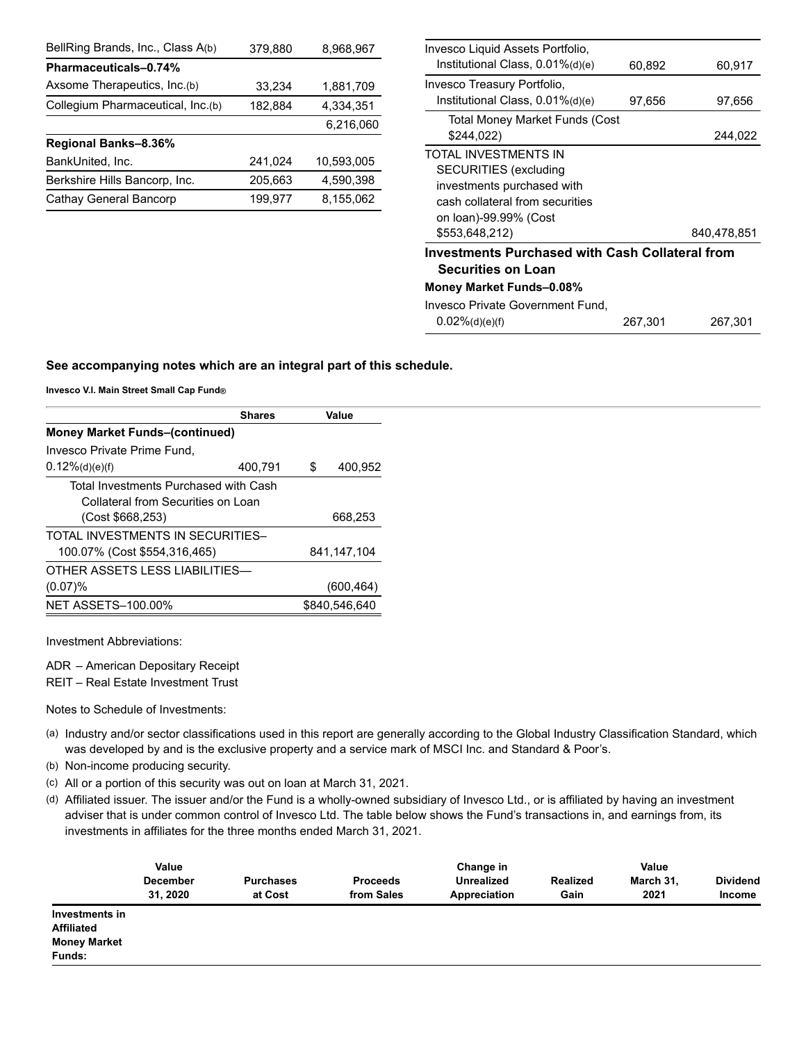| BellRing Brands, Inc., Class A(b) | 379,880 | 8,968,967  |
|-----------------------------------|---------|------------|
| Pharmaceuticals-0.74%             |         |            |
| Axsome Therapeutics, Inc.(b)      | 33,234  | 1,881,709  |
| Collegium Pharmaceutical, Inc.(b) | 182,884 | 4,334,351  |
|                                   |         | 6,216,060  |
| Regional Banks-8.36%              |         |            |
| BankUnited, Inc.                  | 241,024 | 10,593,005 |
| Berkshire Hills Bancorp, Inc.     | 205,663 | 4,590,398  |
| Cathay General Bancorp            | 199,977 | 8,155,062  |
|                                   |         |            |

| Invesco Liquid Assets Portfolio,                       |         |             |
|--------------------------------------------------------|---------|-------------|
| Institutional Class, 0.01%(d)(e)                       | 60,892  | 60,917      |
| Invesco Treasury Portfolio,                            |         |             |
| Institutional Class, 0.01%(d)(e)                       | 97,656  |             |
| Total Money Market Funds (Cost                         |         |             |
| \$244,022)                                             |         | 244,022     |
| TOTAL INVESTMENTS IN                                   |         |             |
| <b>SECURITIES</b> (excluding                           |         |             |
| investments purchased with                             |         |             |
| cash collateral from securities                        |         |             |
| on loan)-99.99% (Cost                                  |         |             |
| \$553,648,212)                                         |         | 840,478,851 |
| <b>Investments Purchased with Cash Collateral from</b> |         |             |
| Securities on Loan                                     |         |             |
| Money Market Funds-0.08%                               |         |             |
| Invesco Private Government Fund,                       |         |             |
| $0.02\%$ (d)(e)(f)                                     | 267,301 | 267,301     |

#### **See accompanying notes which are an integral part of this schedule.**

**Invesco V.I. Main Street Small Cap Fund®**

|                                       | <b>Shares</b> | Value         |
|---------------------------------------|---------------|---------------|
| <b>Money Market Funds-(continued)</b> |               |               |
| Invesco Private Prime Fund,           |               |               |
| $0.12\%$ (d)(e)(f)                    | 400.791       | \$<br>400.952 |
| Total Investments Purchased with Cash |               |               |
| Collateral from Securities on Loan    |               |               |
| (Cost \$668,253)                      |               | 668.253       |
| TOTAL INVESTMENTS IN SECURITIES-      |               |               |
| 100.07% (Cost \$554,316,465)          |               | 841.147.104   |
| OTHER ASSETS LESS LIABILITIES-        |               |               |
| (0.07)%                               |               | (600, 464)    |
| <b>NET ASSETS-100.00%</b>             |               | \$840,546,640 |

Investment Abbreviations:

ADR – American Depositary Receipt

REIT – Real Estate Investment Trust

Notes to Schedule of Investments:

- (a) Industry and/or sector classifications used in this report are generally according to the Global Industry Classification Standard, which was developed by and is the exclusive property and a service mark of MSCI Inc. and Standard & Poor's.
- (b) Non-income producing security.
- (c) All or a portion of this security was out on loan at March 31, 2021.
- (d) Affiliated issuer. The issuer and/or the Fund is a wholly-owned subsidiary of Invesco Ltd., or is affiliated by having an investment adviser that is under common control of Invesco Ltd. The table below shows the Fund's transactions in, and earnings from, its investments in affiliates for the three months ended March 31, 2021.

|                                                                             | Value<br><b>December</b><br>31, 2020 | <b>Purchases</b><br>at Cost | <b>Proceeds</b><br>from Sales | Change in<br><b>Unrealized</b><br>Appreciation | Realized<br>Gain | Value<br>March 31,<br>2021 | <b>Dividend</b><br><b>Income</b> |
|-----------------------------------------------------------------------------|--------------------------------------|-----------------------------|-------------------------------|------------------------------------------------|------------------|----------------------------|----------------------------------|
| Investments in<br><b>Affiliated</b><br><b>Money Market</b><br><b>Funds:</b> |                                      |                             |                               |                                                |                  |                            |                                  |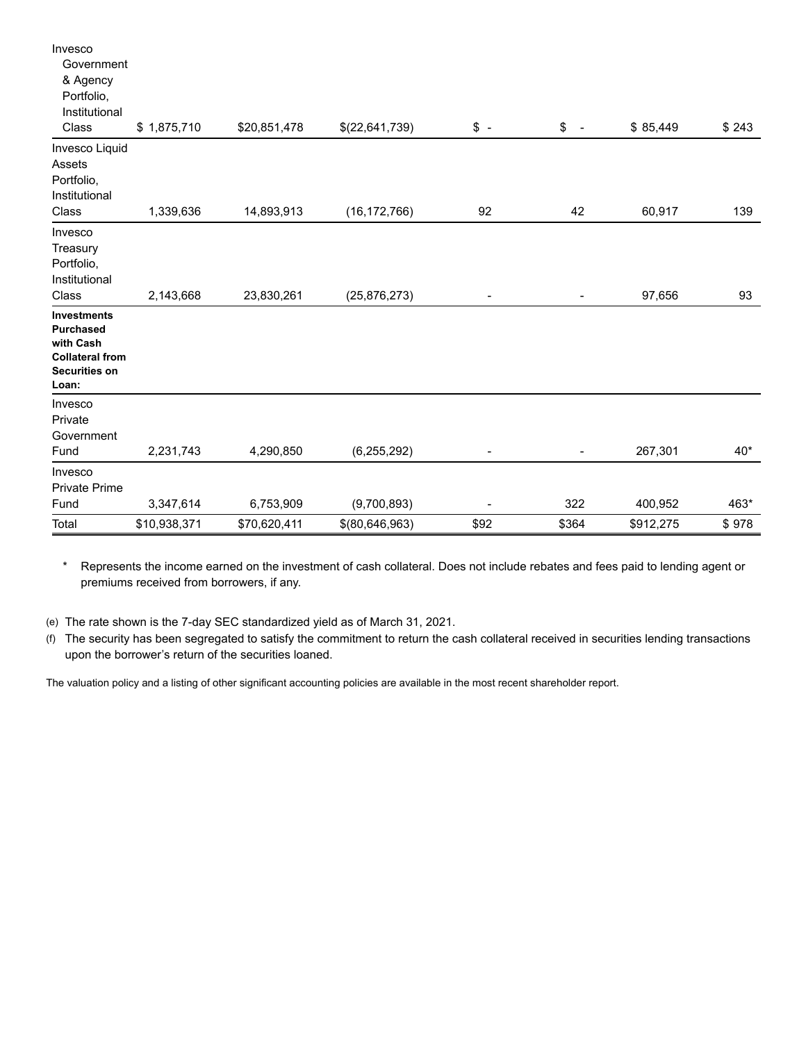| Invesco                                |              |              |                  |                          |                          |           |       |
|----------------------------------------|--------------|--------------|------------------|--------------------------|--------------------------|-----------|-------|
| Government<br>& Agency                 |              |              |                  |                          |                          |           |       |
| Portfolio,                             |              |              |                  |                          |                          |           |       |
| Institutional                          |              |              |                  |                          |                          |           |       |
| Class                                  | \$1,875,710  | \$20,851,478 | \$(22,641,739)   | $\frac{1}{2}$ -          | \$<br>$\overline{a}$     | \$85,449  | \$243 |
| Invesco Liquid                         |              |              |                  |                          |                          |           |       |
| Assets                                 |              |              |                  |                          |                          |           |       |
| Portfolio,                             |              |              |                  |                          |                          |           |       |
| Institutional                          |              |              |                  |                          |                          |           |       |
| Class                                  | 1,339,636    | 14,893,913   | (16, 172, 766)   | 92                       | 42                       | 60,917    | 139   |
| Invesco                                |              |              |                  |                          |                          |           |       |
| Treasury                               |              |              |                  |                          |                          |           |       |
| Portfolio,                             |              |              |                  |                          |                          |           |       |
| Institutional<br>Class                 | 2,143,668    | 23,830,261   | (25, 876, 273)   |                          | $\overline{\phantom{a}}$ | 97,656    | 93    |
|                                        |              |              |                  | $\overline{\phantom{a}}$ |                          |           |       |
| <b>Investments</b><br><b>Purchased</b> |              |              |                  |                          |                          |           |       |
| with Cash                              |              |              |                  |                          |                          |           |       |
| <b>Collateral from</b>                 |              |              |                  |                          |                          |           |       |
| Securities on                          |              |              |                  |                          |                          |           |       |
| Loan:                                  |              |              |                  |                          |                          |           |       |
| Invesco                                |              |              |                  |                          |                          |           |       |
| Private<br>Government                  |              |              |                  |                          |                          |           |       |
| Fund                                   | 2,231,743    | 4,290,850    | (6, 255, 292)    |                          |                          | 267,301   | $40*$ |
| Invesco                                |              |              |                  |                          |                          |           |       |
| Private Prime                          |              |              |                  |                          |                          |           |       |
| Fund                                   | 3,347,614    | 6,753,909    | (9,700,893)      |                          | 322                      | 400,952   | 463*  |
| Total                                  | \$10,938,371 | \$70,620,411 | \$(80, 646, 963) | \$92                     | \$364                    | \$912,275 | \$978 |
|                                        |              |              |                  |                          |                          |           |       |

\* Represents the income earned on the investment of cash collateral. Does not include rebates and fees paid to lending agent or premiums received from borrowers, if any.

(e) The rate shown is the 7-day SEC standardized yield as of March 31, 2021.

(f) The security has been segregated to satisfy the commitment to return the cash collateral received in securities lending transactions upon the borrower's return of the securities loaned.

The valuation policy and a listing of other significant accounting policies are available in the most recent shareholder report.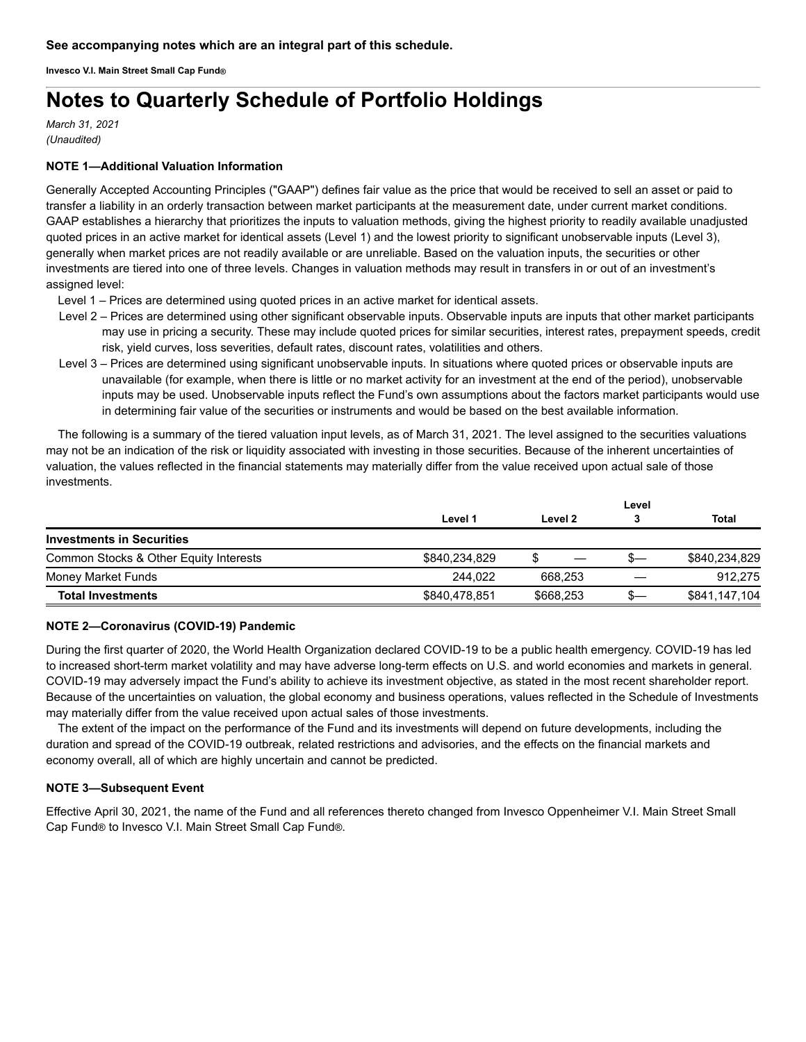**Invesco V.I. Main Street Small Cap Fund®**

# **Notes to Quarterly Schedule of Portfolio Holdings**

*March 31, 2021 (Unaudited)*

# **NOTE 1—Additional Valuation Information**

Generally Accepted Accounting Principles ("GAAP") defines fair value as the price that would be received to sell an asset or paid to transfer a liability in an orderly transaction between market participants at the measurement date, under current market conditions. GAAP establishes a hierarchy that prioritizes the inputs to valuation methods, giving the highest priority to readily available unadjusted quoted prices in an active market for identical assets (Level 1) and the lowest priority to significant unobservable inputs (Level 3), generally when market prices are not readily available or are unreliable. Based on the valuation inputs, the securities or other investments are tiered into one of three levels. Changes in valuation methods may result in transfers in or out of an investment's assigned level:

- Level 1 Prices are determined using quoted prices in an active market for identical assets.
- Level 2 Prices are determined using other significant observable inputs. Observable inputs are inputs that other market participants may use in pricing a security. These may include quoted prices for similar securities, interest rates, prepayment speeds, credit risk, yield curves, loss severities, default rates, discount rates, volatilities and others.
- Level 3 Prices are determined using significant unobservable inputs. In situations where quoted prices or observable inputs are unavailable (for example, when there is little or no market activity for an investment at the end of the period), unobservable inputs may be used. Unobservable inputs reflect the Fund's own assumptions about the factors market participants would use in determining fair value of the securities or instruments and would be based on the best available information.

The following is a summary of the tiered valuation input levels, as of March 31, 2021. The level assigned to the securities valuations may not be an indication of the risk or liquidity associated with investing in those securities. Because of the inherent uncertainties of valuation, the values reflected in the financial statements may materially differ from the value received upon actual sale of those investments.

|                                        |               |           | Level     |               |
|----------------------------------------|---------------|-----------|-----------|---------------|
|                                        | Level 1       | Level 2   |           | Total         |
| <b>Investments in Securities</b>       |               |           |           |               |
| Common Stocks & Other Equity Interests | \$840,234,829 | —         | Ֆ—        | \$840,234,829 |
| Money Market Funds                     | 244.022       | 668.253   |           | 912,275       |
| <b>Total Investments</b>               | \$840,478,851 | \$668,253 | <u>ა—</u> | \$841,147,104 |

## **NOTE 2—Coronavirus (COVID-19) Pandemic**

During the first quarter of 2020, the World Health Organization declared COVID-19 to be a public health emergency. COVID-19 has led to increased short-term market volatility and may have adverse long-term effects on U.S. and world economies and markets in general. COVID-19 may adversely impact the Fund's ability to achieve its investment objective, as stated in the most recent shareholder report. Because of the uncertainties on valuation, the global economy and business operations, values reflected in the Schedule of Investments may materially differ from the value received upon actual sales of those investments.

The extent of the impact on the performance of the Fund and its investments will depend on future developments, including the duration and spread of the COVID-19 outbreak, related restrictions and advisories, and the effects on the financial markets and economy overall, all of which are highly uncertain and cannot be predicted.

## **NOTE 3—Subsequent Event**

Effective April 30, 2021, the name of the Fund and all references thereto changed from Invesco Oppenheimer V.I. Main Street Small Cap Fund® to Invesco V.I. Main Street Small Cap Fund®.